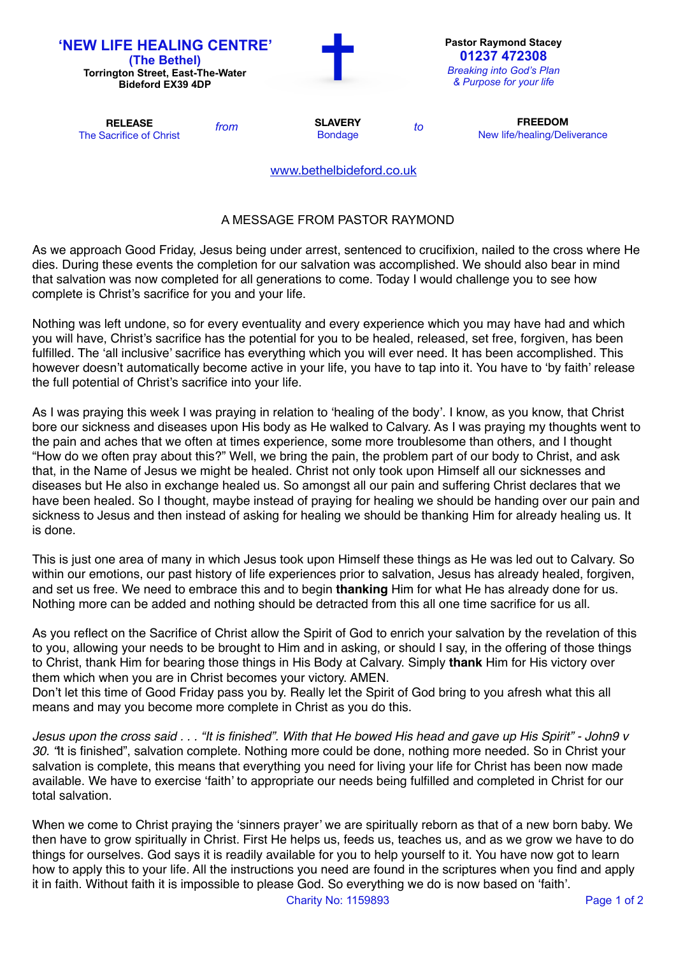| 'NEW LIFE HEALING CENTRE'<br>(The Bethel)<br><b>Torrington Street, East-The-Water</b><br><b>Bideford EX39 4DP</b> |      |                                  |    | <b>Pastor Raymond Stacey</b><br>01237 472308<br><b>Breaking into God's Plan</b><br>& Purpose for your life |  |
|-------------------------------------------------------------------------------------------------------------------|------|----------------------------------|----|------------------------------------------------------------------------------------------------------------|--|
| <b>RELEASE</b><br>The Sacrifice of Christ                                                                         | from | <b>SLAVERY</b><br><b>Bondage</b> | to | <b>FREEDOM</b><br>New life/healing/Deliverance                                                             |  |
|                                                                                                                   |      | www.bethelbideford.co.uk         |    |                                                                                                            |  |

## A MESSAGE FROM PASTOR RAYMOND

As we approach Good Friday, Jesus being under arrest, sentenced to crucifixion, nailed to the cross where He dies. During these events the completion for our salvation was accomplished. We should also bear in mind that salvation was now completed for all generations to come. Today I would challenge you to see how complete is Christ's sacrifice for you and your life.

Nothing was left undone, so for every eventuality and every experience which you may have had and which you will have, Christ's sacrifice has the potential for you to be healed, released, set free, forgiven, has been fulfilled. The 'all inclusive' sacrifice has everything which you will ever need. It has been accomplished. This however doesn't automatically become active in your life, you have to tap into it. You have to 'by faith' release the full potential of Christ's sacrifice into your life.

As I was praying this week I was praying in relation to 'healing of the body'. I know, as you know, that Christ bore our sickness and diseases upon His body as He walked to Calvary. As I was praying my thoughts went to the pain and aches that we often at times experience, some more troublesome than others, and I thought "How do we often pray about this?" Well, we bring the pain, the problem part of our body to Christ, and ask that, in the Name of Jesus we might be healed. Christ not only took upon Himself all our sicknesses and diseases but He also in exchange healed us. So amongst all our pain and suffering Christ declares that we have been healed. So I thought, maybe instead of praying for healing we should be handing over our pain and sickness to Jesus and then instead of asking for healing we should be thanking Him for already healing us. It is done.

This is just one area of many in which Jesus took upon Himself these things as He was led out to Calvary. So within our emotions, our past history of life experiences prior to salvation, Jesus has already healed, forgiven, and set us free. We need to embrace this and to begin **thanking** Him for what He has already done for us. Nothing more can be added and nothing should be detracted from this all one time sacrifice for us all.

As you reflect on the Sacrifice of Christ allow the Spirit of God to enrich your salvation by the revelation of this to you, allowing your needs to be brought to Him and in asking, or should I say, in the offering of those things to Christ, thank Him for bearing those things in His Body at Calvary. Simply **thank** Him for His victory over them which when you are in Christ becomes your victory. AMEN.

Don't let this time of Good Friday pass you by. Really let the Spirit of God bring to you afresh what this all means and may you become more complete in Christ as you do this.

*Jesus upon the cross said . . . "It is finished". With that He bowed His head and gave up His Spirit" - John9 v 30. "*It is finished", salvation complete. Nothing more could be done, nothing more needed. So in Christ your salvation is complete, this means that everything you need for living your life for Christ has been now made available. We have to exercise 'faith' to appropriate our needs being fulfilled and completed in Christ for our total salvation.

When we come to Christ praying the 'sinners prayer' we are spiritually reborn as that of a new born baby. We then have to grow spiritually in Christ. First He helps us, feeds us, teaches us, and as we grow we have to do things for ourselves. God says it is readily available for you to help yourself to it. You have now got to learn how to apply this to your life. All the instructions you need are found in the scriptures when you find and apply it in faith. Without faith it is impossible to please God. So everything we do is now based on 'faith'.